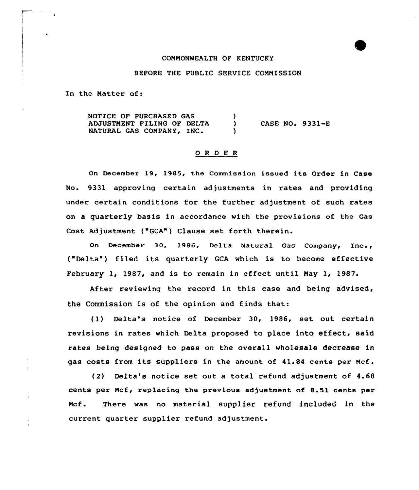## COMMONWEALTH OF KENTUCKY

## BEFORE THE PUBLIC SERVICE COMMISSION

In the Natter of:

NOTICE OF PURCHASED GAS  $\mathcal{L}$ ADJUSTMENT FILING OF DELTA CASE NO.  $9331-E$  $\mathbf{L}$ NATURAL GAS COMPANY, INC.  $\lambda$ 

## 0 <sup>R</sup> <sup>D</sup> E <sup>R</sup>

On December 19, 1985, the Commission issued its Order in Case No. 9331 approving certain adjustments in rates and providing under certain conditions for the further adjustment of such rates on a quarterly basis in accordance with the provisions of the Gas Cost Adjustment ("GCA") Clause set forth therein.

On December 30, 1986, Delta Natural Gas Company, Inc., ("Delta" ) filed its quarterly GCA which is to become effective February 1, 1987, and is to remain in effect until May 1, 1987.

After reviewing the record in this case and being advised, the Commission is of the opinion and finds that:

(1) Delta's notice of December 30, 1986, set out certain revisions in rates which Delta proposed to place into effect, said rates being designed to pass on the overall wholesale decrease in gas costs from its suppliers in the amount of 41.84 cents per Ncf.

(2) Delta's notice set out a total refund adjustment of 4.68 cents per Mcf, replacing the previous adjustment of 8.51 cents per Ncf. There was no material supplier refund included in the current quarter supplier refund adjustment.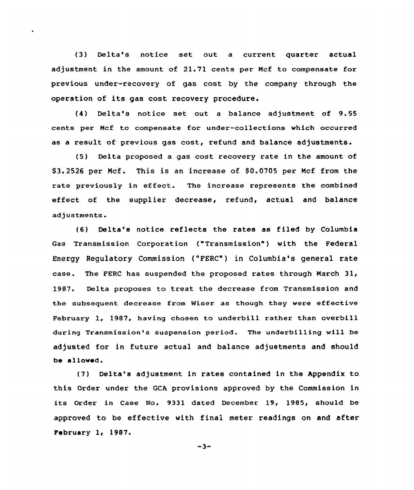{3) Delta's notice set out a current quarter actual adjustment in the amount of 21.71 cents per Mcf to compensate for previous under-recovery of gas cost by the company through the operation of its gas cost recovery procedure.

(4) Delta's notice set out a balance adjustment of 9.55 cents per Ncf to compensate for under-collections which occurred as a result of previous gas cost, refund and balance adjustments.

{5) Delta proposed a gas cost recovery rate in the amount of \$3.2526 per Mcf. This is an increase of S0.0705 per Mcf from the rate previously in effect. The increase represents the combined effect of the supplier decrease, refund, actual and balance adjustments.

{6) Delta's notice reflects the rates as filed by Columbia Gas Transmission Corporation ("Transmission") with the Federal Energy Regulatory Commission ("FERC") in Columbia's general rate case. The PERC has suspended the proposed rates through March 31, 1987. Delta proposes to treat the decrease from Transmission and the subsequent decrease from Wiser as though they were effective February 1, 1987, having chosen to underhill rather than overbill during Transmission's suspension period. The underbilling will be adjusted for in future actual and balance adjustments and should be allowed.

(7) Delta's adjustment in rates contained in the Appendix to this Order under the GCA provisions approved by the Commission in its Order in Case No. 9331 dated December 19, 1985, should be approved to be effective with final meter readings on and after February 1, 1987.

 $-3-$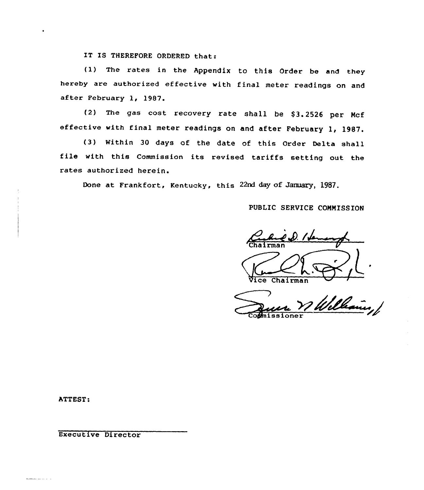IT IS THEREFORE ORDERED that:

(l) The rates in the Appendix to this Order be and they hereby are authorized effective with final meter readings on and after February 1, 1987.

(2) The gas cost recovery rate shall be \$3.2526 per Mcf effective with final meter readings on and after February 1, 1987.

(3) Within 30 days of the date of this Order Delta shall file with this Commission its revised tariffs setting out the rates authorized herein.

Done at Frankfort, Kentucky, this 22nd day of January, 1987.

PUBLIC SERVICE COMMISSION

D. I dan 'Cha i rma <sup>n</sup>

ice Chairman

Williams, Co**missione**r

ATTEST:

-----

Executive Director